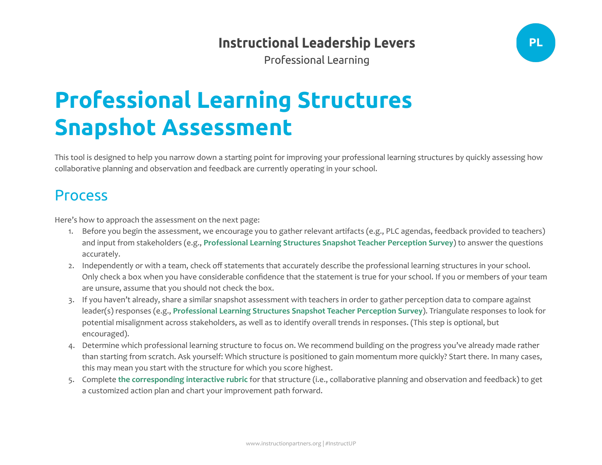## **Instructional Leadership Levers**

**PL** 

**Professional Learning** 

## **Professional Learning Structures Snapshot Assessment**

This tool is designed to help you narrow down a starting point for improving your professional learning structures by quickly assessing how collaborative planning and observation and feedback are currently operating in your school.

## Process

Here's how to approach the assessment on the next page:

- 1. Before you begin the assessment, we encourage you to gather relevant artifacts (e.g., PLC agendas, feedback provided to teachers) and input from stakeholders (e.g., **[Professional](https://docs.google.com/document/d/1iCdoro-QIVnFA6L1A_TP-3FcMq_pIYjd8wS_Vyo5ryw/edit?usp=sharing) Learning Structures Snapshot Teacher Perception Survey**) to answer the questions accurately.
- 2. Independently or with a team, check off statements that accurately describe the professional learning structures in your school. Only check a box when you have considerable confidence that the statement is true for your school. If you or members of your team are unsure, assume that you should not check the box.
- 3. If you haven't already, share a similar snapshot assessment with teachers in order to gather perception data to compare against leader(s) responses (e.g., **[Professional](https://docs.google.com/document/d/1iCdoro-QIVnFA6L1A_TP-3FcMq_pIYjd8wS_Vyo5ryw/edit?usp=sharing) Learning Structures Snapshot Teacher Perception Survey**). Triangulate responses to look for potential misalignment across stakeholders, as well as to identify overall trends in responses. (This step is optional, but encouraged).
- 4. Determine which professional learning structure to focus on. We recommend building on the progress you've already made rather than starting from scratch. Ask yourself: Which structure is positioned to gain momentum more quickly? Start there. In many cases, this may mean you start with the structure for which you score highest.
- 5. Complete **the [corresponding](https://instructionpartners.org/professional-learning/) interactive rubric** for that structure (i.e., collaborative planning and observation and feedback) to get a customized action plan and chart your improvement path forward.